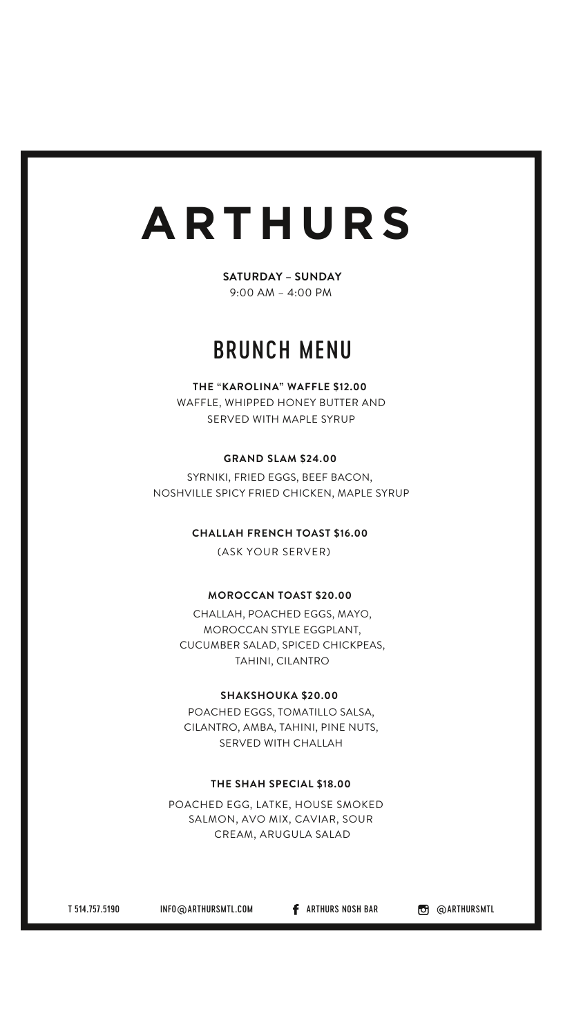# **AR THUR S**

**SATURDAY – SUNDAY** 9:00 AM – 4:00 PM

# BRUNCH MENU

# **THE "KAROLINA" WAFFLE \$12.00**

WAFFLE, WHIPPED HONEY BUTTER AND SERVED WITH MAPLE SYRUP

### **GRAND SLAM \$24.00**

SYRNIKI, FRIED EGGS, BEEF BACON, NOSHVILLE SPICY FRIED CHICKEN, MAPLE SYRUP

# **CHALLAH FRENCH TOAST \$16.00**

(ASK YOUR SERVER)

# **MOROCCAN TOAST \$20.00**

CHALLAH, POACHED EGGS, MAYO, MOROCCAN STYLE EGGPLANT, CUCUMBER SALAD, SPICED CHICKPEAS, TAHINI, CILANTRO

#### **SHAKSHOUKA \$20.00**

POACHED EGGS, TOMATILLO SALSA, CILANTRO, AMBA, TAHINI, PINE NUTS, SERVED WITH CHALLAH

## **THE SHAH SPECIAL \$18.00**

POACHED EGG, LATKE, HOUSE SMOKED SALMON, AVO MIX, CAVIAR, SOUR CREAM, ARUGULA SALAD

T 514.757.5190 INFO@ARTHURSMTL.COM **f** ARTHURS NOSH BAR **@** @ARTHURSMTL